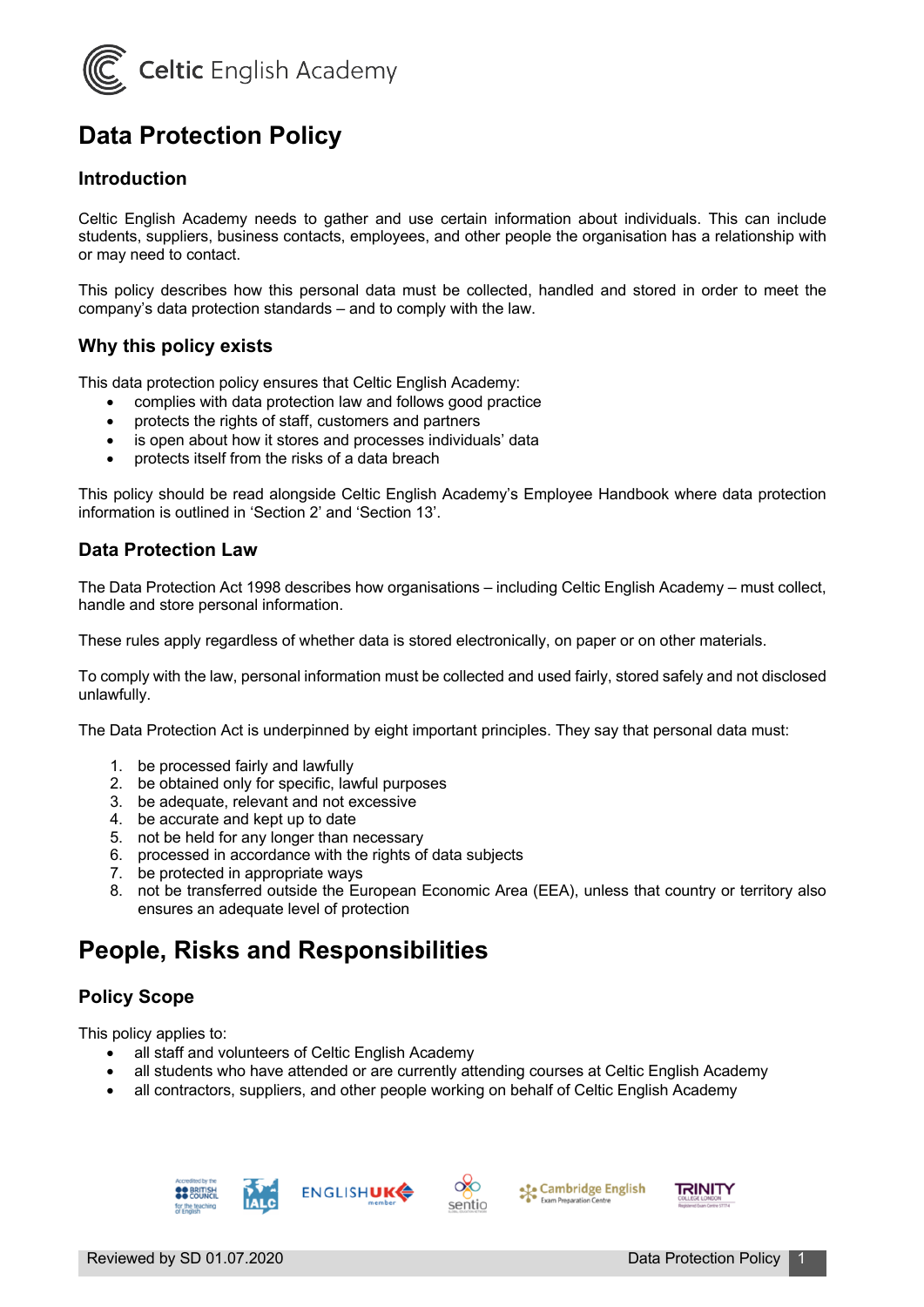

# **Data Protection Policy**

### **Introduction**

Celtic English Academy needs to gather and use certain information about individuals. This can include students, suppliers, business contacts, employees, and other people the organisation has a relationship with or may need to contact.

This policy describes how this personal data must be collected, handled and stored in order to meet the company's data protection standards – and to comply with the law.

#### **Why this policy exists**

This data protection policy ensures that Celtic English Academy:

- complies with data protection law and follows good practice
- protects the rights of staff, customers and partners
- is open about how it stores and processes individuals' data
- protects itself from the risks of a data breach

This policy should be read alongside Celtic English Academy's Employee Handbook where data protection information is outlined in 'Section 2' and 'Section 13'.

### **Data Protection Law**

The Data Protection Act 1998 describes how organisations – including Celtic English Academy – must collect, handle and store personal information.

These rules apply regardless of whether data is stored electronically, on paper or on other materials.

To comply with the law, personal information must be collected and used fairly, stored safely and not disclosed unlawfully.

The Data Protection Act is underpinned by eight important principles. They say that personal data must:

- 1. be processed fairly and lawfully
- 2. be obtained only for specific, lawful purposes
- 3. be adequate, relevant and not excessive
- 4. be accurate and kept up to date
- 5. not be held for any longer than necessary
- 6. processed in accordance with the rights of data subjects
- 7. be protected in appropriate ways
- 8. not be transferred outside the European Economic Area (EEA), unless that country or territory also ensures an adequate level of protection

## **People, Risks and Responsibilities**

### **Policy Scope**

This policy applies to:

- all staff and volunteers of Celtic English Academy
- all students who have attended or are currently attending courses at Celtic English Academy
- all contractors, suppliers, and other people working on behalf of Celtic English Academy





Cambridge English

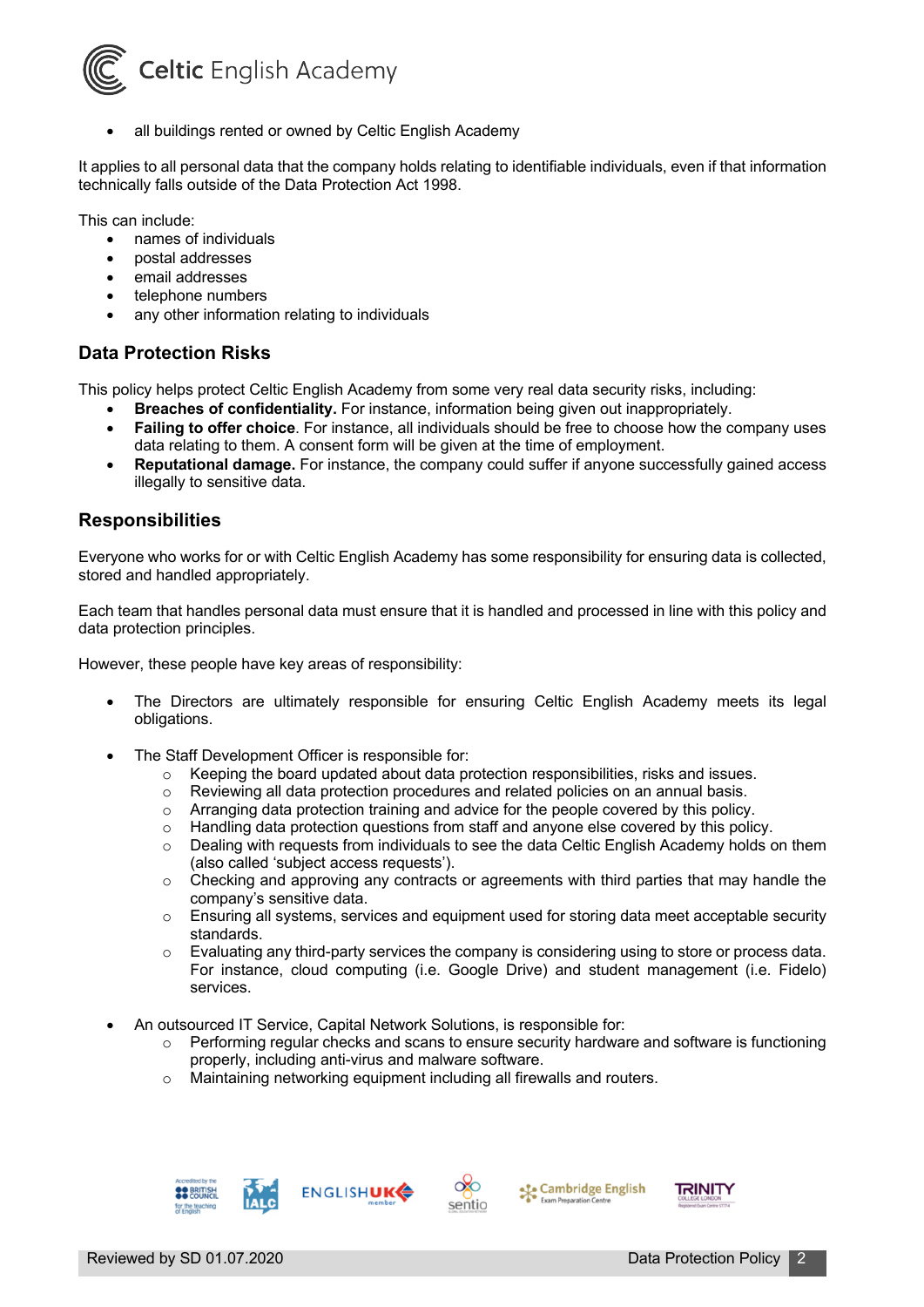

all buildings rented or owned by Celtic English Academy

It applies to all personal data that the company holds relating to identifiable individuals, even if that information technically falls outside of the Data Protection Act 1998.

This can include:

- names of individuals
- postal addresses
- email addresses
- telephone numbers
- any other information relating to individuals

#### **Data Protection Risks**

This policy helps protect Celtic English Academy from some very real data security risks, including:

- **Breaches of confidentiality.** For instance, information being given out inappropriately.
- **Failing to offer choice**. For instance, all individuals should be free to choose how the company uses data relating to them. A consent form will be given at the time of employment.
- **Reputational damage.** For instance, the company could suffer if anyone successfully gained access illegally to sensitive data.

#### **Responsibilities**

Everyone who works for or with Celtic English Academy has some responsibility for ensuring data is collected, stored and handled appropriately.

Each team that handles personal data must ensure that it is handled and processed in line with this policy and data protection principles.

However, these people have key areas of responsibility:

- The Directors are ultimately responsible for ensuring Celtic English Academy meets its legal obligations.
- The Staff Development Officer is responsible for:
	- Keeping the board updated about data protection responsibilities, risks and issues.<br>○ Reviewing all data protection procedures and related policies on an annual basis.
	- Reviewing all data protection procedures and related policies on an annual basis.
	-
	- o Arranging data protection training and advice for the people covered by this policy.<br> **Combination Antical Protection questions from staff and anvone else covered by this nolimate** Handling data protection questions from staff and anyone else covered by this policy.
	- $\circ$  Dealing with requests from individuals to see the data Celtic English Academy holds on them (also called 'subject access requests').
	- $\circ$  Checking and approving any contracts or agreements with third parties that may handle the company's sensitive data.
	- $\circ$  Ensuring all systems, services and equipment used for storing data meet acceptable security standards.
	- o Evaluating any third-party services the company is considering using to store or process data. For instance, cloud computing (i.e. Google Drive) and student management (i.e. Fidelo) services.
- An outsourced IT Service, Capital Network Solutions, is responsible for:
	- $\circ$  Performing regular checks and scans to ensure security hardware and software is functioning properly, including anti-virus and malware software.
	- o Maintaining networking equipment including all firewalls and routers.







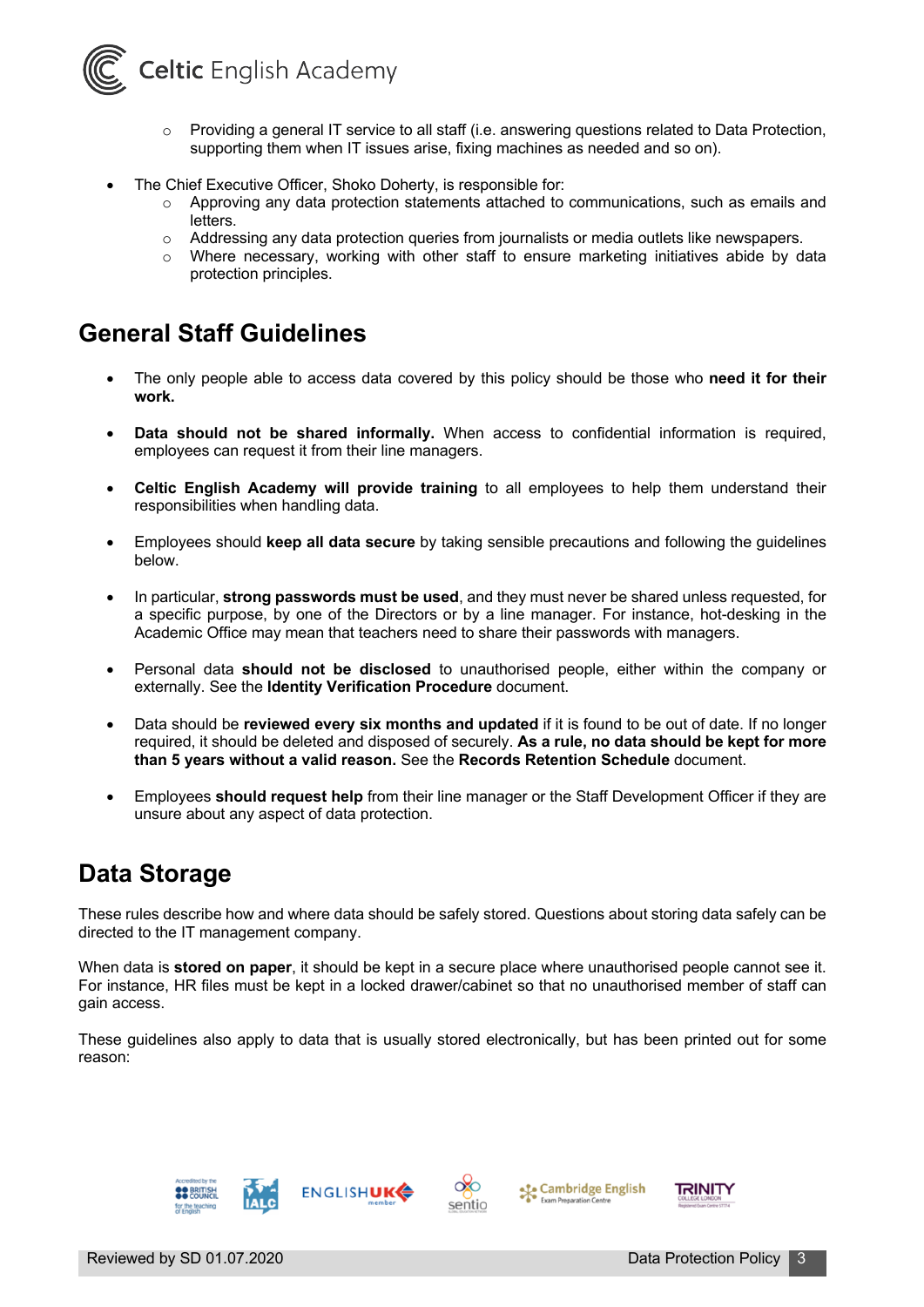

- $\circ$  Providing a general IT service to all staff (i.e. answering questions related to Data Protection, supporting them when IT issues arise, fixing machines as needed and so on).
- The Chief Executive Officer, Shoko Doherty, is responsible for:
	- $\circ$  Approving any data protection statements attached to communications, such as emails and letters.
	- o Addressing any data protection queries from journalists or media outlets like newspapers.
	- $\circ$  Where necessary, working with other staff to ensure marketing initiatives abide by data protection principles.

# **General Staff Guidelines**

- The only people able to access data covered by this policy should be those who **need it for their work.**
- **Data should not be shared informally.** When access to confidential information is required, employees can request it from their line managers.
- **Celtic English Academy will provide training** to all employees to help them understand their responsibilities when handling data.
- Employees should **keep all data secure** by taking sensible precautions and following the guidelines below.
- In particular, **strong passwords must be used**, and they must never be shared unless requested, for a specific purpose, by one of the Directors or by a line manager. For instance, hot-desking in the Academic Office may mean that teachers need to share their passwords with managers.
- Personal data **should not be disclosed** to unauthorised people, either within the company or externally. See the **Identity Verification Procedure** document.
- Data should be **reviewed every six months and updated** if it is found to be out of date. If no longer required, it should be deleted and disposed of securely. **As a rule, no data should be kept for more than 5 years without a valid reason.** See the **Records Retention Schedule** document.
- Employees **should request help** from their line manager or the Staff Development Officer if they are unsure about any aspect of data protection.

# **Data Storage**

These rules describe how and where data should be safely stored. Questions about storing data safely can be directed to the IT management company.

When data is **stored on paper**, it should be kept in a secure place where unauthorised people cannot see it. For instance, HR files must be kept in a locked drawer/cabinet so that no unauthorised member of staff can gain access.

These guidelines also apply to data that is usually stored electronically, but has been printed out for some reason:





```
Cambridge English
```
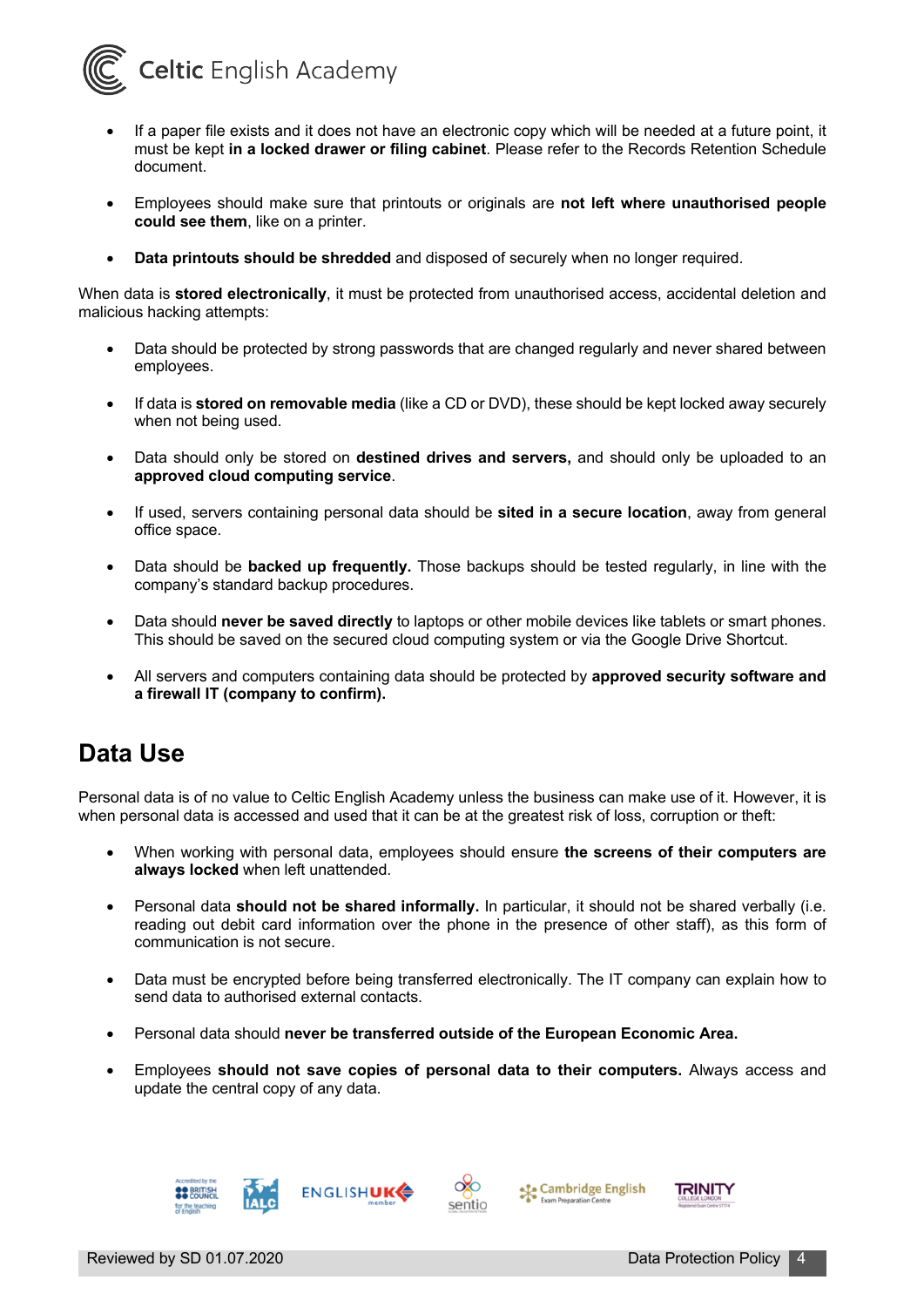

- If a paper file exists and it does not have an electronic copy which will be needed at a future point, it must be kept **in a locked drawer or filing cabinet**. Please refer to the Records Retention Schedule document.
- Employees should make sure that printouts or originals are **not left where unauthorised people could see them**, like on a printer.
- **Data printouts should be shredded** and disposed of securely when no longer required.

When data is **stored electronically**, it must be protected from unauthorised access, accidental deletion and malicious hacking attempts:

- Data should be protected by strong passwords that are changed regularly and never shared between employees.
- If data is **stored on removable media** (like a CD or DVD), these should be kept locked away securely when not being used.
- Data should only be stored on **destined drives and servers,** and should only be uploaded to an **approved cloud computing service**.
- If used, servers containing personal data should be **sited in a secure location**, away from general office space.
- Data should be **backed up frequently.** Those backups should be tested regularly, in line with the company's standard backup procedures.
- Data should **never be saved directly** to laptops or other mobile devices like tablets or smart phones. This should be saved on the secured cloud computing system or via the Google Drive Shortcut.
- All servers and computers containing data should be protected by **approved security software and a firewall IT (company to confirm).**

## **Data Use**

Personal data is of no value to Celtic English Academy unless the business can make use of it. However, it is when personal data is accessed and used that it can be at the greatest risk of loss, corruption or theft:

- When working with personal data, employees should ensure **the screens of their computers are always locked** when left unattended.
- Personal data **should not be shared informally.** In particular, it should not be shared verbally (i.e. reading out debit card information over the phone in the presence of other staff), as this form of communication is not secure.
- Data must be encrypted before being transferred electronically. The IT company can explain how to send data to authorised external contacts.
- Personal data should **never be transferred outside of the European Economic Area.**
- Employees **should not save copies of personal data to their computers.** Always access and update the central copy of any data.





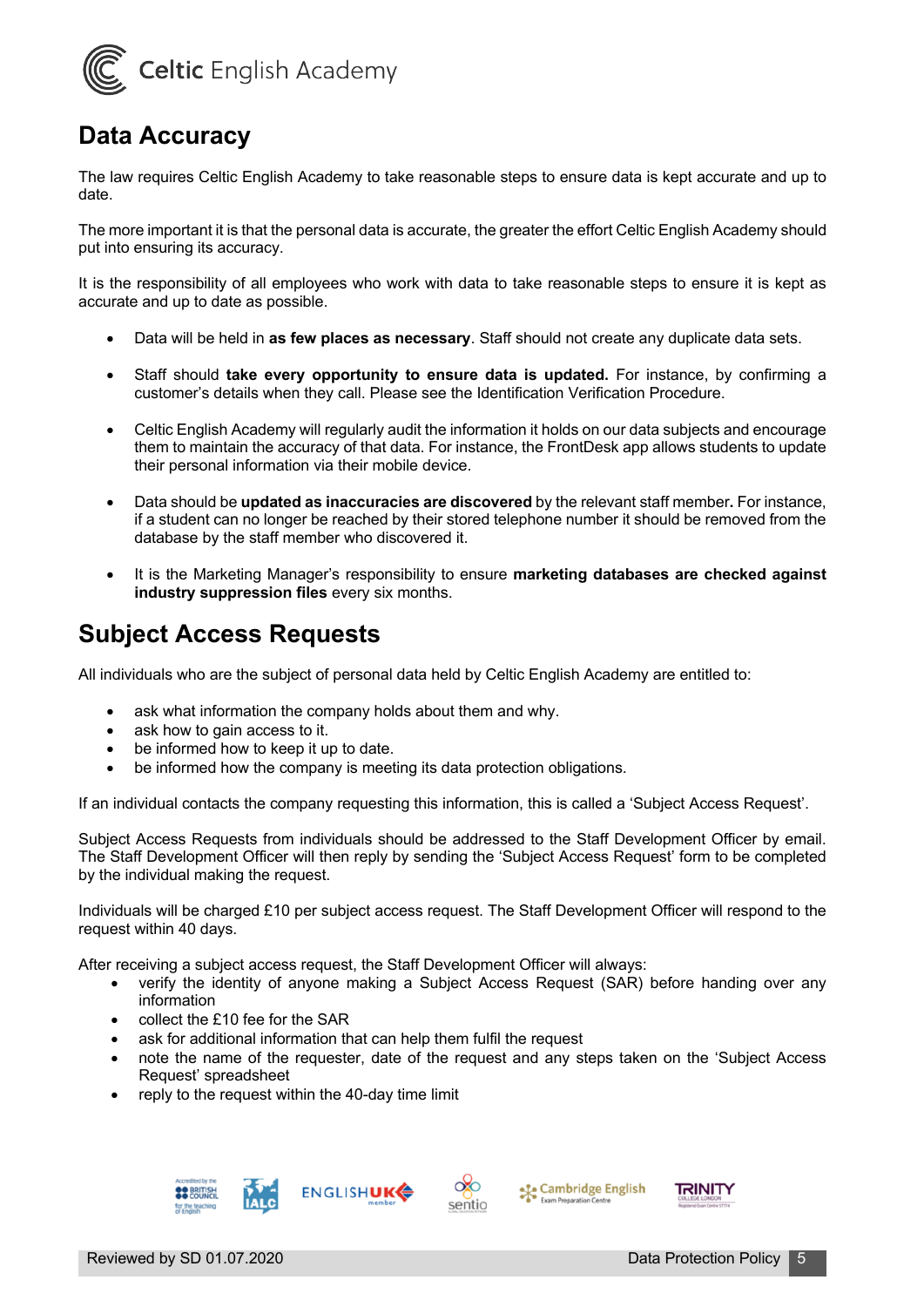

# **Data Accuracy**

The law requires Celtic English Academy to take reasonable steps to ensure data is kept accurate and up to date.

The more important it is that the personal data is accurate, the greater the effort Celtic English Academy should put into ensuring its accuracy.

It is the responsibility of all employees who work with data to take reasonable steps to ensure it is kept as accurate and up to date as possible.

- Data will be held in **as few places as necessary**. Staff should not create any duplicate data sets.
- Staff should **take every opportunity to ensure data is updated.** For instance, by confirming a customer's details when they call. Please see the Identification Verification Procedure.
- Celtic English Academy will regularly audit the information it holds on our data subjects and encourage them to maintain the accuracy of that data. For instance, the FrontDesk app allows students to update their personal information via their mobile device.
- Data should be **updated as inaccuracies are discovered** by the relevant staff member**.** For instance, if a student can no longer be reached by their stored telephone number it should be removed from the database by the staff member who discovered it.
- It is the Marketing Manager's responsibility to ensure **marketing databases are checked against industry suppression files** every six months.

# **Subject Access Requests**

All individuals who are the subject of personal data held by Celtic English Academy are entitled to:

- ask what information the company holds about them and why.
- ask how to gain access to it.
- be informed how to keep it up to date.
- be informed how the company is meeting its data protection obligations.

If an individual contacts the company requesting this information, this is called a 'Subject Access Request'.

Subject Access Requests from individuals should be addressed to the Staff Development Officer by email. The Staff Development Officer will then reply by sending the 'Subject Access Request' form to be completed by the individual making the request.

Individuals will be charged £10 per subject access request. The Staff Development Officer will respond to the request within 40 days.

After receiving a subject access request, the Staff Development Officer will always:

- verify the identity of anyone making a Subject Access Request (SAR) before handing over any information
- collect the £10 fee for the SAR
- ask for additional information that can help them fulfil the request
- note the name of the requester, date of the request and any steps taken on the 'Subject Access Request' spreadsheet
- reply to the request within the 40-day time limit